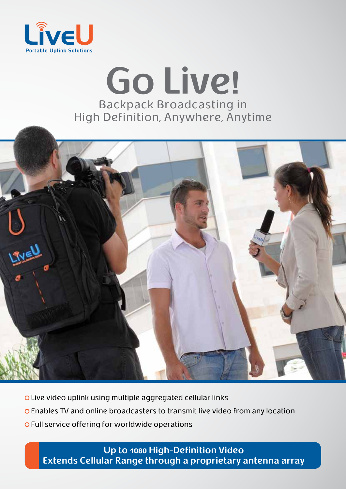

# Go Live! **Backpack Broadcasting in** High Definition, Anywhere, Anytime



- **OLive video uplink using multiple aggregated cellular links**
- o Enables TV and online broadcasters to transmit live video from any location
- o Full service offering for worldwide operations

**Up to 1080 High-Definition Video Extends Cellular Range through a proprietary antenna array**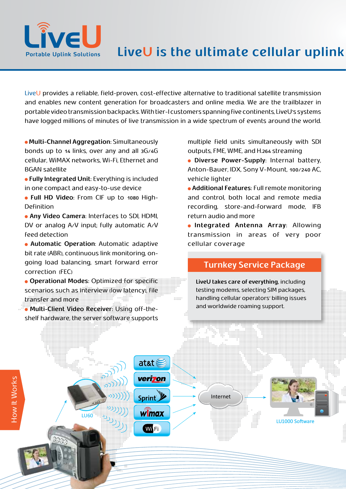

LiveU provides a reliable, field-proven, cost-effective alternative to traditional satellite transmission and enables new content generation for broadcasters and online media. We are the trailblazer in portable video transmission backpacks. With tier-I customers spanning five continents, LiveU's systems have logged millions of minutes of live transmission in a wide spectrum of events around the world.

**• Multi-Channel Aggregation:** Simultaneously bonds up to  $14$  links, over any and all  $3G/4G$ cellular, WiMAX networks, Wi-Fi, Ethernet and BGAN satellite

**• Fully Integrated Unit: Everything is included** in one compact and easy-to-use device

 $\bullet$  Full HD Video: From CIF up to 1080 High-<br>Definition

**• Any Video Camera: Interfaces to SDI, HDMI,** DV or analog  $A/V$  input; fully automatic  $A/V$ feed detection

**• Automatic Operation:** Automatic adaptive going load balancing, smart forward error bit rate (ABR), continuous link monitoring, oncorrection (FEC)

**• Operational Modes: Optimized for specific** scenarios such as interview (low latency), file  $22222$ transfer and more

at&t $\epsilon$ 

verizon

Sprint y

 $\hat{\mathbf{w}}$ max

**Wi**Fi

shelf hardware, the server software supports **• Multi-Client Video Receiver: Using off-the-**

LU60

multiple field units simultaneously with SDI outputs, FME, WME, and H.264 streaming

**• Diverse Power-Supply: Internal battery,** Anton-Bauer, IDX, Sony V-Mount, 100/240 AC, vehicle lighter

**• Additional Features: Full remote monitoring** and control, both local and remote media recording, store-and-forward mode, IFB return audio and more

**.** Integrated Antenna Array: Allowing transmission in areas of very poor cellular coverage

## **Turnkey Service Package**

LiveU takes care of everything, including testing modems, selecting SIM packages. handling cellular operators' billing issues and worldwide roaming support.

LU1000 Software

Internet

How It Works How It Works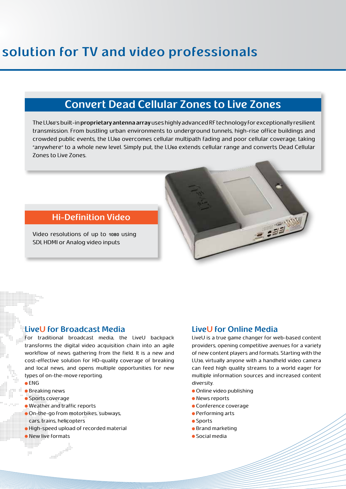## **Convert Dead Cellular Zones to Live Zones**

The LU60's built-in proprietary antenna array uses highly advanced RF technology for exceptionally resilient transmission. From bustling urban environments to underground tunnels, high-rise office buildings and crowded public events, the LU60 overcomes cellular multipath fading and poor cellular coverage, taking "anywhere" to a whole new level. Simply put, the LU60 extends cellular range and converts Dead Cellular Zones to Live Zones.

### **Hi-Definition Video**

Video resolutions of up to 1080 using SDI, HDMI or Analog video inputs

## **LiveU** for Broadcast Media

For traditional broadcast media, the LiveU backpack transforms the digital video acquisition chain into an agile workflow of news gathering from the field. It is a new and cost-effective solution for HD-quality coverage of breaking and local news, and opens multiple opportunities for new types of on-the-move reporting.

ENG

 $\frac{0.0.0}{0.0.0}$ 

- **•** Breaking news
- Sports coverage
- $\bullet$  Weather and traffic reports

- On-the-go from motorbikes, subways,
- cars, trains, helicopters
- **•** High-speed upload of recorded material
- **New live formats**

## **LiveU** for Online Media

LiveU is a true game changer for web-based content providers, opening competitive avenues for a variety of new content players and formats. Starting with the LU<sub>30</sub>, virtually anyone with a handheld video camera can feed high quality streams to a world eager for multiple information sources and increased content .diversity

- **Online video publishing**
- News reports
- Conference coverage
- **•** Performing arts
- **•** Sports
- **•** Brand marketing
- $\bullet$  Social media